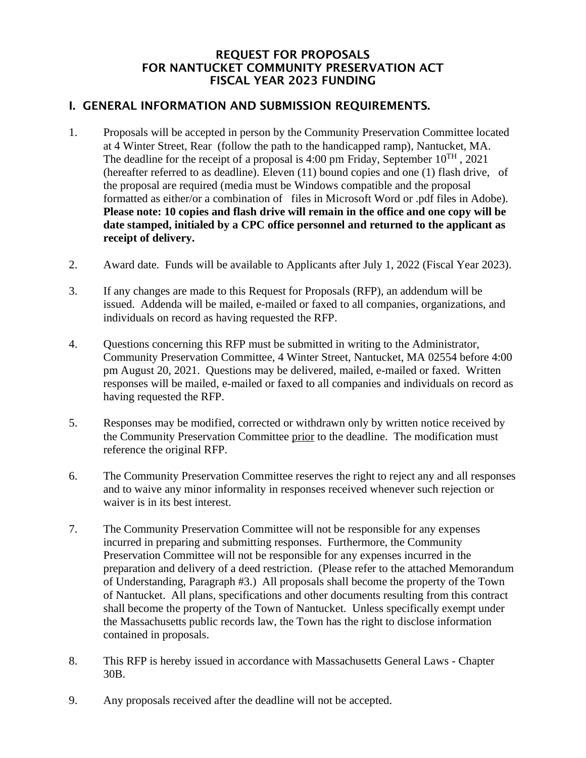#### REQUEST FOR PROPOSALS FOR NANTUCKET COMMUNITY PRESERVATION ACT FISCAL YEAR 2023 FUNDING

#### I. GENERAL INFORMATION AND SUBMISSION REQUIREMENTS.

- 1. Proposals will be accepted in person by the Community Preservation Committee located at 4 Winter Street, Rear (follow the path to the handicapped ramp), Nantucket, MA. The deadline for the receipt of a proposal is 4:00 pm Friday, September  $10^{TH}$ , 2021 (hereafter referred to as deadline). Eleven (11) bound copies and one (1) flash drive, of the proposal are required (media must be Windows compatible and the proposal formatted as either/or a combination of files in Microsoft Word or .pdf files in Adobe). **Please note: 10 copies and flash drive will remain in the office and one copy will be date stamped, initialed by a CPC office personnel and returned to the applicant as receipt of delivery.**
- 2. Award date. Funds will be available to Applicants after July 1, 2022 (Fiscal Year 2023).
- 3. If any changes are made to this Request for Proposals (RFP), an addendum will be issued. Addenda will be mailed, e-mailed or faxed to all companies, organizations, and individuals on record as having requested the RFP.
- 4. Questions concerning this RFP must be submitted in writing to the Administrator, Community Preservation Committee, 4 Winter Street, Nantucket, MA 02554 before 4:00 pm August 20, 2021. Questions may be delivered, mailed, e-mailed or faxed. Written responses will be mailed, e-mailed or faxed to all companies and individuals on record as having requested the RFP.
- 5. Responses may be modified, corrected or withdrawn only by written notice received by the Community Preservation Committee prior to the deadline. The modification must reference the original RFP.
- 6. The Community Preservation Committee reserves the right to reject any and all responses and to waive any minor informality in responses received whenever such rejection or waiver is in its best interest.
- 7. The Community Preservation Committee will not be responsible for any expenses incurred in preparing and submitting responses. Furthermore, the Community Preservation Committee will not be responsible for any expenses incurred in the preparation and delivery of a deed restriction. (Please refer to the attached Memorandum of Understanding, Paragraph #3.) All proposals shall become the property of the Town of Nantucket. All plans, specifications and other documents resulting from this contract shall become the property of the Town of Nantucket. Unless specifically exempt under the Massachusetts public records law, the Town has the right to disclose information contained in proposals.
- 8. This RFP is hereby issued in accordance with Massachusetts General Laws Chapter 30B.
- 9. Any proposals received after the deadline will not be accepted.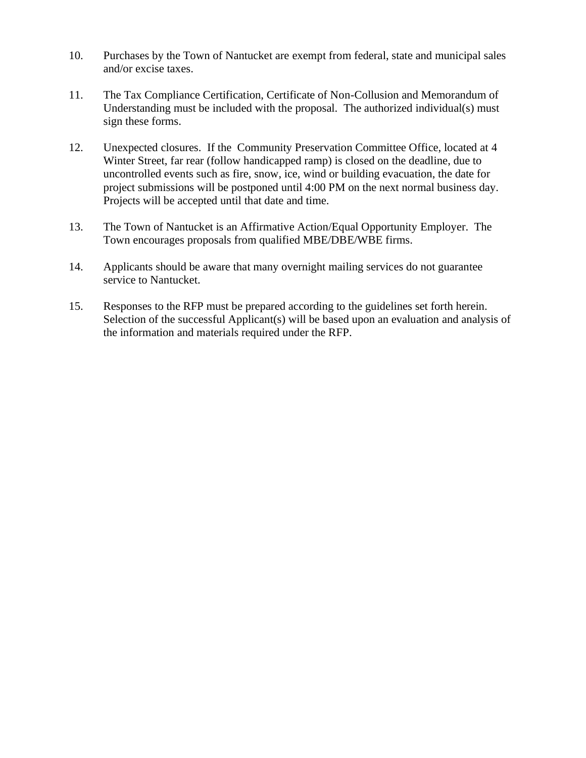- 10. Purchases by the Town of Nantucket are exempt from federal, state and municipal sales and/or excise taxes.
- 11. The Tax Compliance Certification, Certificate of Non-Collusion and Memorandum of Understanding must be included with the proposal. The authorized individual(s) must sign these forms.
- 12. Unexpected closures. If the Community Preservation Committee Office, located at 4 Winter Street, far rear (follow handicapped ramp) is closed on the deadline, due to uncontrolled events such as fire, snow, ice, wind or building evacuation, the date for project submissions will be postponed until 4:00 PM on the next normal business day. Projects will be accepted until that date and time.
- 13. The Town of Nantucket is an Affirmative Action/Equal Opportunity Employer. The Town encourages proposals from qualified MBE/DBE/WBE firms.
- 14. Applicants should be aware that many overnight mailing services do not guarantee service to Nantucket.
- 15. Responses to the RFP must be prepared according to the guidelines set forth herein. Selection of the successful Applicant(s) will be based upon an evaluation and analysis of the information and materials required under the RFP.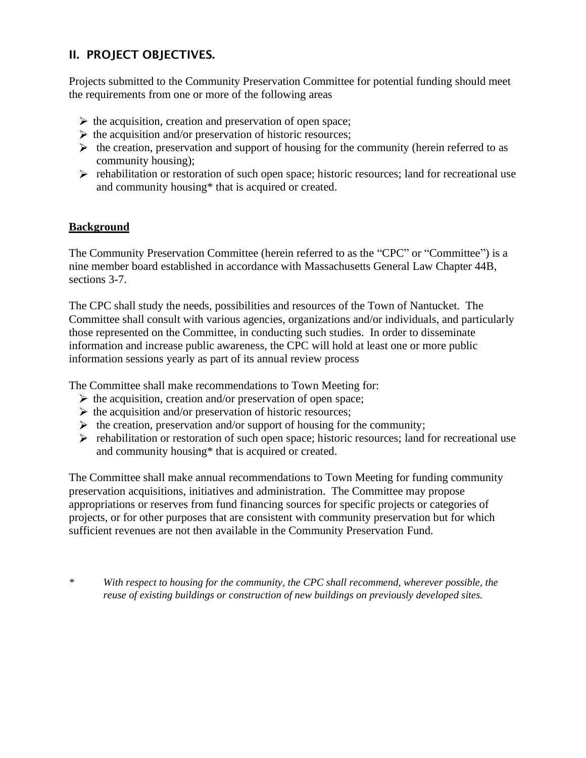# II. PROJECT OBJECTIVES.

Projects submitted to the Community Preservation Committee for potential funding should meet the requirements from one or more of the following areas

- $\triangleright$  the acquisition, creation and preservation of open space;
- $\triangleright$  the acquisition and/or preservation of historic resources;
- $\triangleright$  the creation, preservation and support of housing for the community (herein referred to as community housing);
- $\triangleright$  rehabilitation or restoration of such open space; historic resources; land for recreational use and community housing\* that is acquired or created.

#### **Background**

The Community Preservation Committee (herein referred to as the "CPC" or "Committee") is a nine member board established in accordance with Massachusetts General Law Chapter 44B, sections 3-7.

The CPC shall study the needs, possibilities and resources of the Town of Nantucket. The Committee shall consult with various agencies, organizations and/or individuals, and particularly those represented on the Committee, in conducting such studies. In order to disseminate information and increase public awareness, the CPC will hold at least one or more public information sessions yearly as part of its annual review process

The Committee shall make recommendations to Town Meeting for:

- $\triangleright$  the acquisition, creation and/or preservation of open space;
- $\triangleright$  the acquisition and/or preservation of historic resources;
- $\triangleright$  the creation, preservation and/or support of housing for the community;
- $\triangleright$  rehabilitation or restoration of such open space; historic resources; land for recreational use and community housing\* that is acquired or created.

The Committee shall make annual recommendations to Town Meeting for funding community preservation acquisitions, initiatives and administration. The Committee may propose appropriations or reserves from fund financing sources for specific projects or categories of projects, or for other purposes that are consistent with community preservation but for which sufficient revenues are not then available in the Community Preservation Fund.

*\* With respect to housing for the community, the CPC shall recommend, wherever possible, the reuse of existing buildings or construction of new buildings on previously developed sites.*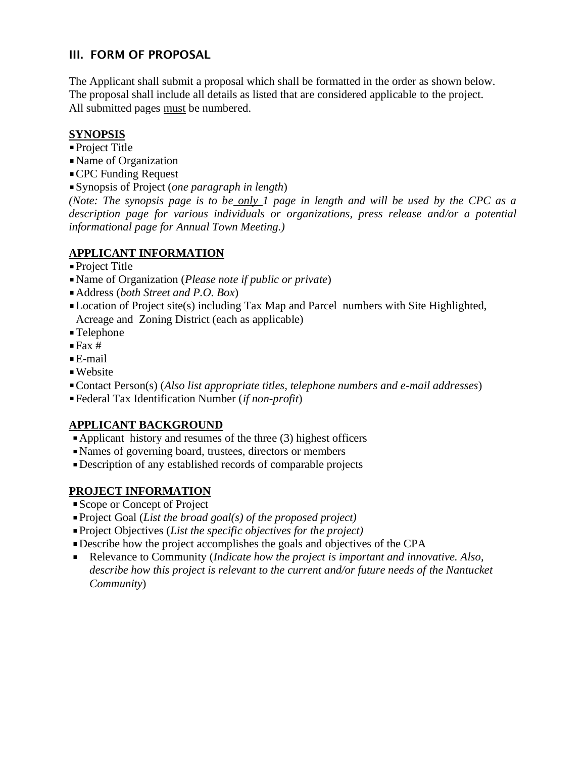# III. FORM OF PROPOSAL

The Applicant shall submit a proposal which shall be formatted in the order as shown below. The proposal shall include all details as listed that are considered applicable to the project. All submitted pages must be numbered.

#### **SYNOPSIS**

- Project Title
- Name of Organization
- CPC Funding Request
- Synopsis of Project (*one paragraph in length*)

*(Note: The synopsis page is to be only 1 page in length and will be used by the CPC as a description page for various individuals or organizations, press release and/or a potential informational page for Annual Town Meeting.)* 

# **APPLICANT INFORMATION**

- Project Title
- Name of Organization (*Please note if public or private*)
- Address (*both Street and P.O. Box*)
- Location of Project site(s) including Tax Map and Parcel numbers with Site Highlighted, Acreage and Zoning District (each as applicable)
- Telephone
- $\blacksquare$  Fax #
- E-mail
- Website
- Contact Person(s) (*Also list appropriate titles, telephone numbers and e-mail addresses*)
- Federal Tax Identification Number (*if non-profit*)

# **APPLICANT BACKGROUND**

- Applicant history and resumes of the three (3) highest officers
- Names of governing board, trustees, directors or members
- Description of any established records of comparable projects

# **PROJECT INFORMATION**

- Scope or Concept of Project
- Project Goal (*List the broad goal(s) of the proposed project)*
- Project Objectives (*List the specific objectives for the project)*
- Describe how the project accomplishes the goals and objectives of the CPA
- Relevance to Community (*Indicate how the project is important and innovative. Also, describe how this project is relevant to the current and/or future needs of the Nantucket Community*)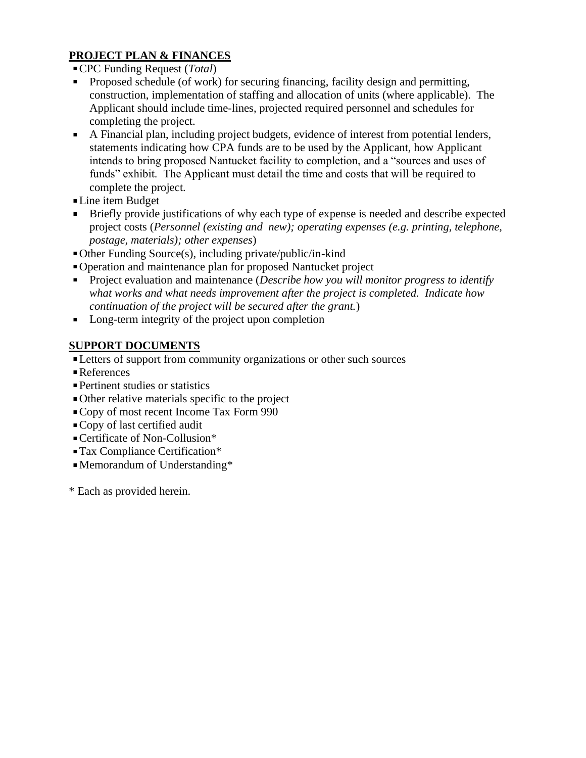# **PROJECT PLAN & FINANCES**

- CPC Funding Request (*Total*)
- Proposed schedule (of work) for securing financing, facility design and permitting, construction, implementation of staffing and allocation of units (where applicable). The Applicant should include time-lines, projected required personnel and schedules for completing the project.
- A Financial plan, including project budgets, evidence of interest from potential lenders, statements indicating how CPA funds are to be used by the Applicant, how Applicant intends to bring proposed Nantucket facility to completion, and a "sources and uses of funds" exhibit. The Applicant must detail the time and costs that will be required to complete the project.
- Line item Budget
- **Briefly provide justifications of why each type of expense is needed and describe expected** project costs (*Personnel (existing and new); operating expenses (e.g. printing, telephone, postage, materials); other expenses*)
- Other Funding Source(s), including private/public/in-kind
- Operation and maintenance plan for proposed Nantucket project
- Project evaluation and maintenance (*Describe how you will monitor progress to identify what works and what needs improvement after the project is completed. Indicate how continuation of the project will be secured after the grant.*)
- **Long-term integrity of the project upon completion**

# **SUPPORT DOCUMENTS**

- **Letters of support from community organizations or other such sources**
- ■References
- Pertinent studies or statistics
- Other relative materials specific to the project
- Copy of most recent Income Tax Form 990
- Copy of last certified audit
- Certificate of Non-Collusion\*
- Tax Compliance Certification\*
- Memorandum of Understanding\*
- \* Each as provided herein.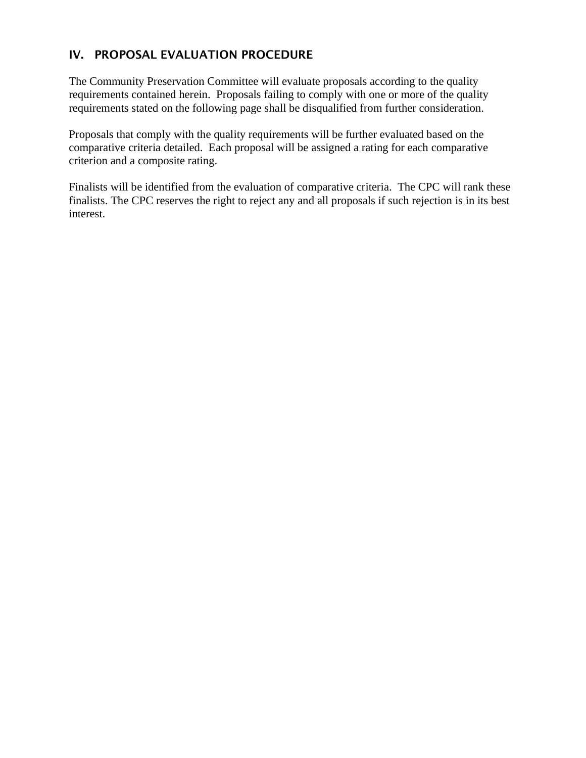# IV. PROPOSAL EVALUATION PROCEDURE

The Community Preservation Committee will evaluate proposals according to the quality requirements contained herein. Proposals failing to comply with one or more of the quality requirements stated on the following page shall be disqualified from further consideration.

Proposals that comply with the quality requirements will be further evaluated based on the comparative criteria detailed. Each proposal will be assigned a rating for each comparative criterion and a composite rating.

Finalists will be identified from the evaluation of comparative criteria. The CPC will rank these finalists. The CPC reserves the right to reject any and all proposals if such rejection is in its best interest.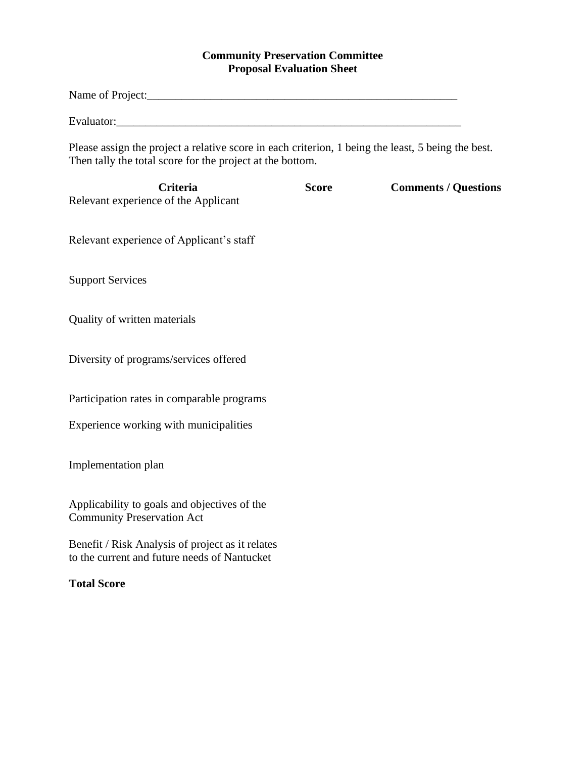# **Community Preservation Committee Proposal Evaluation Sheet**

| Name of Project:                                                                                                                                                |              |                             |
|-----------------------------------------------------------------------------------------------------------------------------------------------------------------|--------------|-----------------------------|
|                                                                                                                                                                 |              |                             |
| Please assign the project a relative score in each criterion, 1 being the least, 5 being the best.<br>Then tally the total score for the project at the bottom. |              |                             |
| <b>Criteria</b><br>Relevant experience of the Applicant                                                                                                         | <b>Score</b> | <b>Comments / Questions</b> |
| Relevant experience of Applicant's staff                                                                                                                        |              |                             |
| <b>Support Services</b>                                                                                                                                         |              |                             |
| Quality of written materials                                                                                                                                    |              |                             |
| Diversity of programs/services offered                                                                                                                          |              |                             |
| Participation rates in comparable programs                                                                                                                      |              |                             |
| Experience working with municipalities                                                                                                                          |              |                             |
| Implementation plan                                                                                                                                             |              |                             |
| Applicability to goals and objectives of the<br><b>Community Preservation Act</b>                                                                               |              |                             |
| Benefit / Risk Analysis of project as it relates<br>to the current and future needs of Nantucket                                                                |              |                             |
| <b>Total Score</b>                                                                                                                                              |              |                             |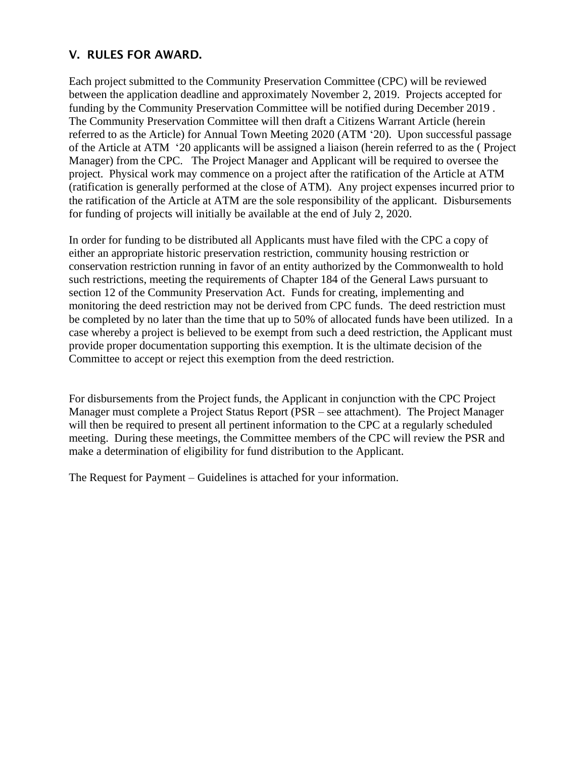# V. RULES FOR AWARD.

Each project submitted to the Community Preservation Committee (CPC) will be reviewed between the application deadline and approximately November 2, 2019. Projects accepted for funding by the Community Preservation Committee will be notified during December 2019 . The Community Preservation Committee will then draft a Citizens Warrant Article (herein referred to as the Article) for Annual Town Meeting 2020 (ATM '20). Upon successful passage of the Article at ATM '20 applicants will be assigned a liaison (herein referred to as the ( Project Manager) from the CPC. The Project Manager and Applicant will be required to oversee the project. Physical work may commence on a project after the ratification of the Article at ATM (ratification is generally performed at the close of ATM). Any project expenses incurred prior to the ratification of the Article at ATM are the sole responsibility of the applicant. Disbursements for funding of projects will initially be available at the end of July 2, 2020.

In order for funding to be distributed all Applicants must have filed with the CPC a copy of either an appropriate historic preservation restriction, community housing restriction or conservation restriction running in favor of an entity authorized by the Commonwealth to hold such restrictions, meeting the requirements of Chapter 184 of the General Laws pursuant to section 12 of the Community Preservation Act. Funds for creating, implementing and monitoring the deed restriction may not be derived from CPC funds. The deed restriction must be completed by no later than the time that up to 50% of allocated funds have been utilized. In a case whereby a project is believed to be exempt from such a deed restriction, the Applicant must provide proper documentation supporting this exemption. It is the ultimate decision of the Committee to accept or reject this exemption from the deed restriction.

For disbursements from the Project funds, the Applicant in conjunction with the CPC Project Manager must complete a Project Status Report (PSR – see attachment). The Project Manager will then be required to present all pertinent information to the CPC at a regularly scheduled meeting. During these meetings, the Committee members of the CPC will review the PSR and make a determination of eligibility for fund distribution to the Applicant.

The Request for Payment – Guidelines is attached for your information.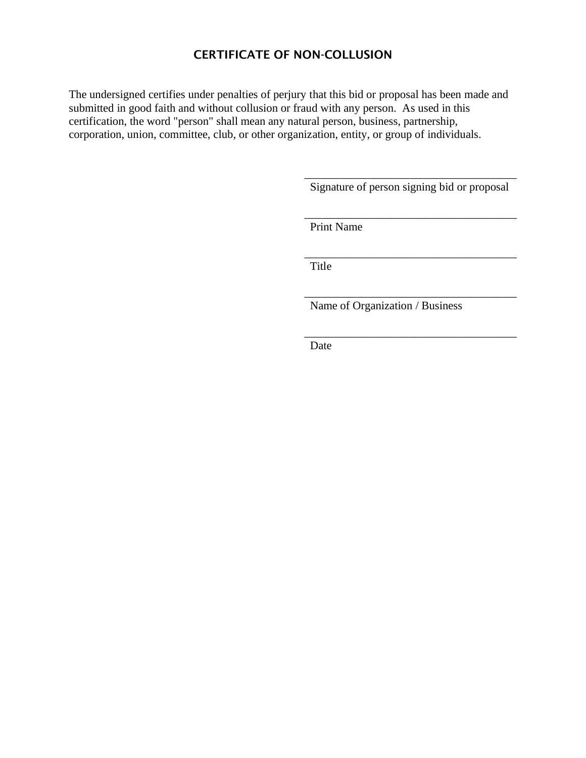# CERTIFICATE OF NON-COLLUSION

The undersigned certifies under penalties of perjury that this bid or proposal has been made and submitted in good faith and without collusion or fraud with any person. As used in this certification, the word "person" shall mean any natural person, business, partnership, corporation, union, committee, club, or other organization, entity, or group of individuals.

> \_\_\_\_\_\_\_\_\_\_\_\_\_\_\_\_\_\_\_\_\_\_\_\_\_\_\_\_\_\_\_\_\_\_\_\_\_ Signature of person signing bid or proposal

> \_\_\_\_\_\_\_\_\_\_\_\_\_\_\_\_\_\_\_\_\_\_\_\_\_\_\_\_\_\_\_\_\_\_\_\_\_

\_\_\_\_\_\_\_\_\_\_\_\_\_\_\_\_\_\_\_\_\_\_\_\_\_\_\_\_\_\_\_\_\_\_\_\_\_

\_\_\_\_\_\_\_\_\_\_\_\_\_\_\_\_\_\_\_\_\_\_\_\_\_\_\_\_\_\_\_\_\_\_\_\_\_

\_\_\_\_\_\_\_\_\_\_\_\_\_\_\_\_\_\_\_\_\_\_\_\_\_\_\_\_\_\_\_\_\_\_\_\_\_

Print Name

Title

Name of Organization / Business

Date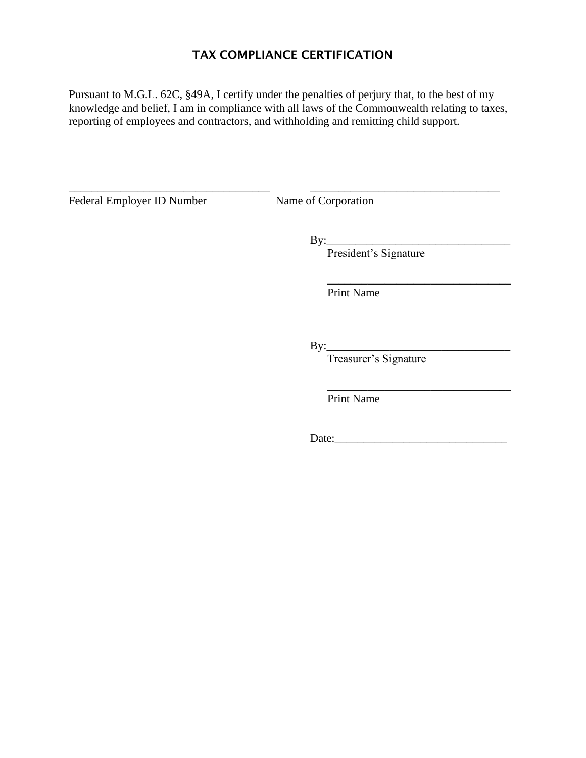# TAX COMPLIANCE CERTIFICATION

Pursuant to M.G.L. 62C, §49A, I certify under the penalties of perjury that, to the best of my knowledge and belief, I am in compliance with all laws of the Commonwealth relating to taxes, reporting of employees and contractors, and withholding and remitting child support.

\_\_\_\_\_\_\_\_\_\_\_\_\_\_\_\_\_\_\_\_\_\_\_\_\_\_\_\_\_\_\_\_\_\_\_ \_\_\_\_\_\_\_\_\_\_\_\_\_\_\_\_\_\_\_\_\_\_\_\_\_\_\_\_\_\_\_\_\_

Federal Employer ID Number Name of Corporation

By:\_\_\_\_\_\_\_\_\_\_\_\_\_\_\_\_\_\_\_\_\_\_\_\_\_\_\_\_\_\_\_\_ President's Signature

Print Name

By:\_\_\_\_\_\_\_\_\_\_\_\_\_\_\_\_\_\_\_\_\_\_\_\_\_\_\_\_\_\_\_\_

Treasurer's Signature

Print Name

Date:\_\_\_\_\_\_\_\_\_\_\_\_\_\_\_\_\_\_\_\_\_\_\_\_\_\_\_\_\_\_

\_\_\_\_\_\_\_\_\_\_\_\_\_\_\_\_\_\_\_\_\_\_\_\_\_\_\_\_\_\_\_\_

 $\overline{\phantom{a}}$  ,  $\overline{\phantom{a}}$  ,  $\overline{\phantom{a}}$  ,  $\overline{\phantom{a}}$  ,  $\overline{\phantom{a}}$  ,  $\overline{\phantom{a}}$  ,  $\overline{\phantom{a}}$  ,  $\overline{\phantom{a}}$  ,  $\overline{\phantom{a}}$  ,  $\overline{\phantom{a}}$  ,  $\overline{\phantom{a}}$  ,  $\overline{\phantom{a}}$  ,  $\overline{\phantom{a}}$  ,  $\overline{\phantom{a}}$  ,  $\overline{\phantom{a}}$  ,  $\overline{\phantom{a}}$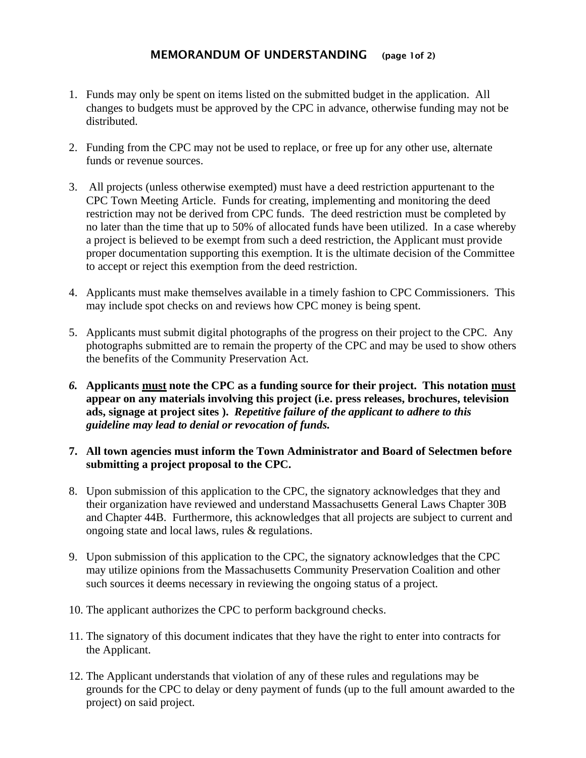#### MEMORANDUM OF UNDERSTANDING (page 1of 2)

- 1. Funds may only be spent on items listed on the submitted budget in the application. All changes to budgets must be approved by the CPC in advance, otherwise funding may not be distributed.
- 2. Funding from the CPC may not be used to replace, or free up for any other use, alternate funds or revenue sources.
- 3. All projects (unless otherwise exempted) must have a deed restriction appurtenant to the CPC Town Meeting Article. Funds for creating, implementing and monitoring the deed restriction may not be derived from CPC funds. The deed restriction must be completed by no later than the time that up to 50% of allocated funds have been utilized. In a case whereby a project is believed to be exempt from such a deed restriction, the Applicant must provide proper documentation supporting this exemption. It is the ultimate decision of the Committee to accept or reject this exemption from the deed restriction.
- 4. Applicants must make themselves available in a timely fashion to CPC Commissioners. This may include spot checks on and reviews how CPC money is being spent.
- 5. Applicants must submit digital photographs of the progress on their project to the CPC. Any photographs submitted are to remain the property of the CPC and may be used to show others the benefits of the Community Preservation Act.
- *6.* **Applicants must note the CPC as a funding source for their project. This notation must appear on any materials involving this project (i.e. press releases, brochures, television ads, signage at project sites ).** *Repetitive failure of the applicant to adhere to this guideline may lead to denial or revocation of funds.*

#### **7. All town agencies must inform the Town Administrator and Board of Selectmen before submitting a project proposal to the CPC.**

- 8. Upon submission of this application to the CPC, the signatory acknowledges that they and their organization have reviewed and understand Massachusetts General Laws Chapter 30B and Chapter 44B. Furthermore, this acknowledges that all projects are subject to current and ongoing state and local laws, rules & regulations.
- 9. Upon submission of this application to the CPC, the signatory acknowledges that the CPC may utilize opinions from the Massachusetts Community Preservation Coalition and other such sources it deems necessary in reviewing the ongoing status of a project.
- 10. The applicant authorizes the CPC to perform background checks.
- 11. The signatory of this document indicates that they have the right to enter into contracts for the Applicant.
- 12. The Applicant understands that violation of any of these rules and regulations may be grounds for the CPC to delay or deny payment of funds (up to the full amount awarded to the project) on said project.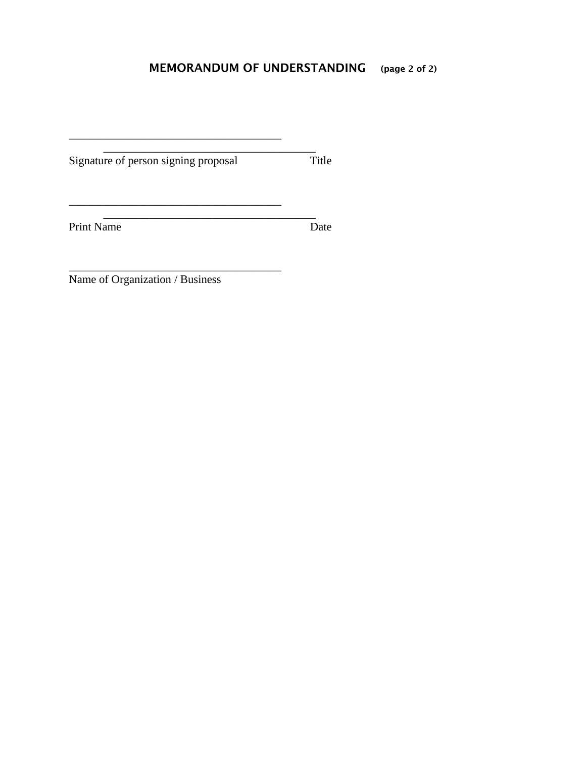# MEMORANDUM OF UNDERSTANDING (page 2 of 2)

 $\mathcal{L}_\text{max}$  and  $\mathcal{L}_\text{max}$  and  $\mathcal{L}_\text{max}$ 

\_\_\_\_\_\_\_\_\_\_\_\_\_\_\_\_\_\_\_\_\_\_\_\_\_\_\_\_\_\_\_\_\_\_\_\_\_

\_\_\_\_\_\_\_\_\_\_\_\_\_\_\_\_\_\_\_\_\_\_\_\_\_\_\_\_\_\_\_\_\_\_\_\_\_

Signature of person signing proposal Title

\_\_\_\_\_\_\_\_\_\_\_\_\_\_\_\_\_\_\_\_\_\_\_\_\_\_\_\_\_\_\_\_\_\_\_\_\_

Print Name

and the set of the set of the set of the set of the set of the set of the set of the set of the set of the set of the set of the set of the set of the set of the set of the set of the set of the set of the set of the set o

Name of Organization / Business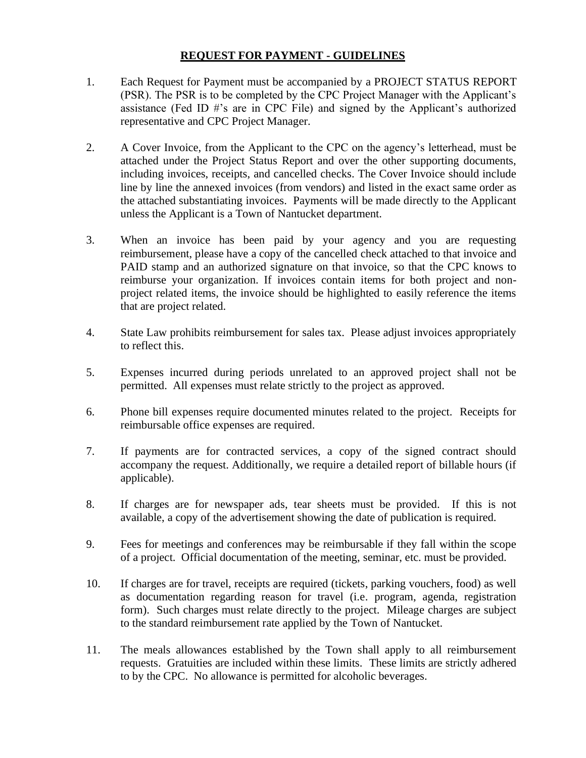#### **REQUEST FOR PAYMENT - GUIDELINES**

- 1. Each Request for Payment must be accompanied by a PROJECT STATUS REPORT (PSR). The PSR is to be completed by the CPC Project Manager with the Applicant's assistance (Fed ID #'s are in CPC File) and signed by the Applicant's authorized representative and CPC Project Manager.
- 2. A Cover Invoice, from the Applicant to the CPC on the agency's letterhead, must be attached under the Project Status Report and over the other supporting documents, including invoices, receipts, and cancelled checks. The Cover Invoice should include line by line the annexed invoices (from vendors) and listed in the exact same order as the attached substantiating invoices. Payments will be made directly to the Applicant unless the Applicant is a Town of Nantucket department.
- 3. When an invoice has been paid by your agency and you are requesting reimbursement, please have a copy of the cancelled check attached to that invoice and PAID stamp and an authorized signature on that invoice, so that the CPC knows to reimburse your organization. If invoices contain items for both project and nonproject related items, the invoice should be highlighted to easily reference the items that are project related.
- 4. State Law prohibits reimbursement for sales tax. Please adjust invoices appropriately to reflect this.
- 5. Expenses incurred during periods unrelated to an approved project shall not be permitted. All expenses must relate strictly to the project as approved.
- 6. Phone bill expenses require documented minutes related to the project. Receipts for reimbursable office expenses are required.
- 7. If payments are for contracted services, a copy of the signed contract should accompany the request. Additionally, we require a detailed report of billable hours (if applicable).
- 8. If charges are for newspaper ads, tear sheets must be provided. If this is not available, a copy of the advertisement showing the date of publication is required.
- 9. Fees for meetings and conferences may be reimbursable if they fall within the scope of a project. Official documentation of the meeting, seminar, etc. must be provided.
- 10. If charges are for travel, receipts are required (tickets, parking vouchers, food) as well as documentation regarding reason for travel (i.e. program, agenda, registration form). Such charges must relate directly to the project. Mileage charges are subject to the standard reimbursement rate applied by the Town of Nantucket.
- 11. The meals allowances established by the Town shall apply to all reimbursement requests. Gratuities are included within these limits. These limits are strictly adhered to by the CPC. No allowance is permitted for alcoholic beverages.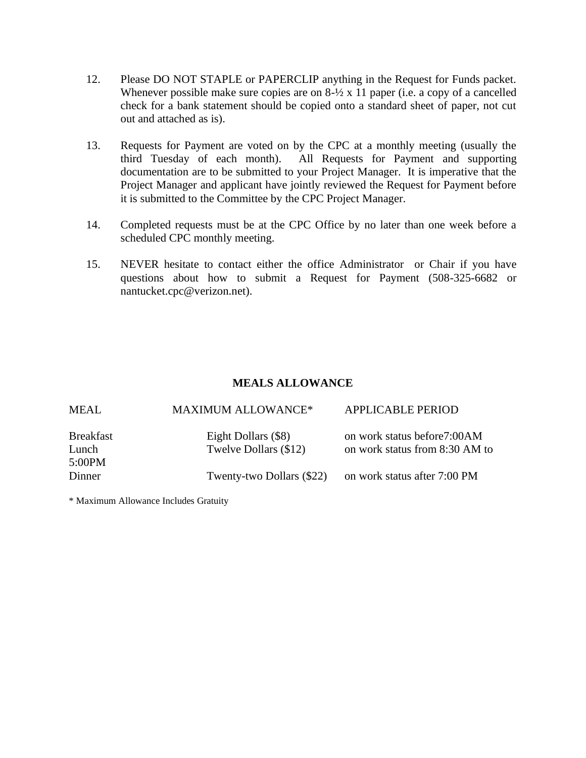- 12. Please DO NOT STAPLE or PAPERCLIP anything in the Request for Funds packet. Whenever possible make sure copies are on  $8\frac{1}{2}$  x 11 paper (i.e. a copy of a cancelled check for a bank statement should be copied onto a standard sheet of paper, not cut out and attached as is).
- 13. Requests for Payment are voted on by the CPC at a monthly meeting (usually the third Tuesday of each month). All Requests for Payment and supporting documentation are to be submitted to your Project Manager. It is imperative that the Project Manager and applicant have jointly reviewed the Request for Payment before it is submitted to the Committee by the CPC Project Manager.
- 14. Completed requests must be at the CPC Office by no later than one week before a scheduled CPC monthly meeting.
- 15. NEVER hesitate to contact either the office Administrator or Chair if you have questions about how to submit a Request for Payment (508-325-6682 or nantucket.cpc@verizon.net).

#### **MEALS ALLOWANCE**

| <b>MEAL</b>      | <b>MAXIMUM ALLOWANCE*</b> | <b>APPLICABLE PERIOD</b>       |
|------------------|---------------------------|--------------------------------|
| <b>Breakfast</b> | Eight Dollars (\$8)       | on work status before7:00AM    |
| Lunch            | Twelve Dollars (\$12)     | on work status from 8:30 AM to |
| 5:00PM           |                           |                                |
| Dinner           | Twenty-two Dollars (\$22) | on work status after 7:00 PM   |
|                  |                           |                                |

\* Maximum Allowance Includes Gratuity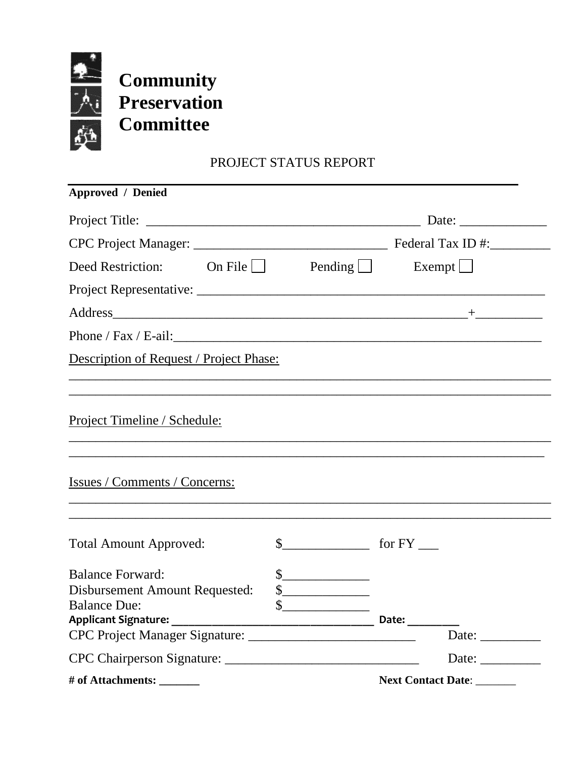

**Community Preservation Committee**

# PROJECT STATUS REPORT

| <b>Approved</b> / Denied                                                                                                                                                                                                       |  |                                                                                                                                                                                                                                                                                                                                                                                                                                                                                                                                                                                                                                                                                                                                                                                                                                                                                                                                        |                                                          |
|--------------------------------------------------------------------------------------------------------------------------------------------------------------------------------------------------------------------------------|--|----------------------------------------------------------------------------------------------------------------------------------------------------------------------------------------------------------------------------------------------------------------------------------------------------------------------------------------------------------------------------------------------------------------------------------------------------------------------------------------------------------------------------------------------------------------------------------------------------------------------------------------------------------------------------------------------------------------------------------------------------------------------------------------------------------------------------------------------------------------------------------------------------------------------------------------|----------------------------------------------------------|
|                                                                                                                                                                                                                                |  |                                                                                                                                                                                                                                                                                                                                                                                                                                                                                                                                                                                                                                                                                                                                                                                                                                                                                                                                        |                                                          |
|                                                                                                                                                                                                                                |  |                                                                                                                                                                                                                                                                                                                                                                                                                                                                                                                                                                                                                                                                                                                                                                                                                                                                                                                                        |                                                          |
| Deed Restriction: On File $\Box$ Pending                                                                                                                                                                                       |  |                                                                                                                                                                                                                                                                                                                                                                                                                                                                                                                                                                                                                                                                                                                                                                                                                                                                                                                                        | Exempt $\Box$                                            |
|                                                                                                                                                                                                                                |  |                                                                                                                                                                                                                                                                                                                                                                                                                                                                                                                                                                                                                                                                                                                                                                                                                                                                                                                                        |                                                          |
|                                                                                                                                                                                                                                |  |                                                                                                                                                                                                                                                                                                                                                                                                                                                                                                                                                                                                                                                                                                                                                                                                                                                                                                                                        |                                                          |
| Phone / Fax / E-ail: 2008 and 2008 and 2008 and 2008 and 2008 and 2008 and 2008 and 2008 and 2008 and 2008 and 2008 and 2008 and 2008 and 2008 and 2008 and 2008 and 2008 and 2008 and 2008 and 2008 and 2008 and 2008 and 200 |  |                                                                                                                                                                                                                                                                                                                                                                                                                                                                                                                                                                                                                                                                                                                                                                                                                                                                                                                                        |                                                          |
| Description of Request / Project Phase:                                                                                                                                                                                        |  |                                                                                                                                                                                                                                                                                                                                                                                                                                                                                                                                                                                                                                                                                                                                                                                                                                                                                                                                        |                                                          |
|                                                                                                                                                                                                                                |  |                                                                                                                                                                                                                                                                                                                                                                                                                                                                                                                                                                                                                                                                                                                                                                                                                                                                                                                                        |                                                          |
| Project Timeline / Schedule:                                                                                                                                                                                                   |  |                                                                                                                                                                                                                                                                                                                                                                                                                                                                                                                                                                                                                                                                                                                                                                                                                                                                                                                                        |                                                          |
| Issues / Comments / Concerns:                                                                                                                                                                                                  |  |                                                                                                                                                                                                                                                                                                                                                                                                                                                                                                                                                                                                                                                                                                                                                                                                                                                                                                                                        |                                                          |
| <b>Total Amount Approved:</b>                                                                                                                                                                                                  |  |                                                                                                                                                                                                                                                                                                                                                                                                                                                                                                                                                                                                                                                                                                                                                                                                                                                                                                                                        |                                                          |
| <b>Balance Forward:</b><br>Disbursement Amount Requested:<br><b>Balance Due:</b>                                                                                                                                               |  | $\frac{1}{2}$<br>$\begin{picture}(20,20) \put(0,0){\line(1,0){100}} \put(15,0){\line(1,0){100}} \put(15,0){\line(1,0){100}} \put(15,0){\line(1,0){100}} \put(15,0){\line(1,0){100}} \put(15,0){\line(1,0){100}} \put(15,0){\line(1,0){100}} \put(15,0){\line(1,0){100}} \put(15,0){\line(1,0){100}} \put(15,0){\line(1,0){100}} \put(15,0){\line(1,0){100}} \$<br>$\begin{array}{c c} \n\multicolumn{3}{c }{\textbf{\textcolor{red}{\bf\textcolor{green}{\bf\textcolor{green}{\bf\textcolor{green}{\bf\textcolor{green}{\bf\textcolor{green}{\bf\textcolor{green}{\bf\textcolor{green}{\bf\textcolor{blue}{\bf\textcolor{blue}{\bf\textcolor{blue}{\bf\textcolor{blue}{\bf\textcolor{blue}{\bf\textcolor{blue}{\bf\textcolor{blue}{\bf\textcolor{blue}{\bf\textcolor{blue}{\bf\textcolor{blue}{\bf\textcolor{blue}{\bf\textcolor{blue}{\bf\textcolor{blue}{\bf\textcolor{blue}{\bf\textcolor{blue}{\bf\textcolor{blue}{\bf\textcolor{$ |                                                          |
|                                                                                                                                                                                                                                |  |                                                                                                                                                                                                                                                                                                                                                                                                                                                                                                                                                                                                                                                                                                                                                                                                                                                                                                                                        | Date: $\_\_$                                             |
|                                                                                                                                                                                                                                |  |                                                                                                                                                                                                                                                                                                                                                                                                                                                                                                                                                                                                                                                                                                                                                                                                                                                                                                                                        |                                                          |
|                                                                                                                                                                                                                                |  |                                                                                                                                                                                                                                                                                                                                                                                                                                                                                                                                                                                                                                                                                                                                                                                                                                                                                                                                        | Date: $\frac{1}{\sqrt{1-\frac{1}{2}} \cdot \frac{1}{2}}$ |
|                                                                                                                                                                                                                                |  |                                                                                                                                                                                                                                                                                                                                                                                                                                                                                                                                                                                                                                                                                                                                                                                                                                                                                                                                        | Next Contact Date:                                       |